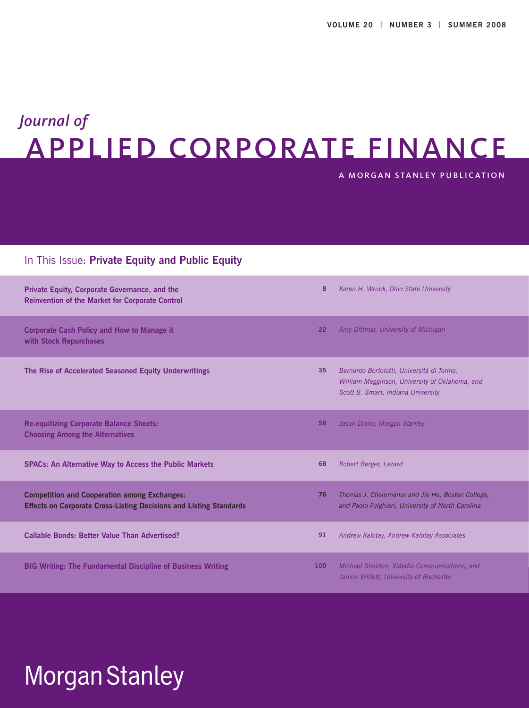## APPLIED CORPORATE FINANCE *Journal of*

#### A MORGAN STANLEY PUBLICATION

## In This Issue: **Private Equity and Public Equity**

| Private Equity, Corporate Governance, and the<br><b>Reinvention of the Market for Corporate Control</b>                          | 8          | Karen H. Wruck, Ohio State University                                                                                              |
|----------------------------------------------------------------------------------------------------------------------------------|------------|------------------------------------------------------------------------------------------------------------------------------------|
| <b>Corporate Cash Policy and How to Manage it</b><br>with Stock Repurchases                                                      | 22         | Amy Dittmar, University of Michigan                                                                                                |
| The Rise of Accelerated Seasoned Equity Underwritings                                                                            | 35         | Bernardo Bortolotti, Università di Torino,<br>William Megginson, University of Oklahoma, and<br>Scott B. Smart, Indiana University |
| <b>Re-equitizing Corporate Balance Sheets:</b><br><b>Choosing Among the Alternatives</b>                                         | 58         | Jason Draho, Morgan Stanley                                                                                                        |
| <b>SPACs: An Alternative Way to Access the Public Markets</b>                                                                    | 68         | Robert Berger, Lazard                                                                                                              |
| <b>Competition and Cooperation among Exchanges:</b><br><b>Effects on Corporate Cross-Listing Decisions and Listing Standards</b> | 76         | Thomas J. Chemmanur and Jie He, Boston College,<br>and Paolo Fulghieri, University of North Carolina                               |
| <b>Callable Bonds: Better Value Than Advertised?</b>                                                                             | 91         | Andrew Kalotay, Andrew Kalotay Associates                                                                                          |
| <b>BIG Writing: The Fundamental Discipline of Business Writing</b>                                                               | <b>100</b> | Michael Sheldon, XMedia Communications, and<br>Janice Willett, University of Rochester                                             |

# **Morgan Stanley**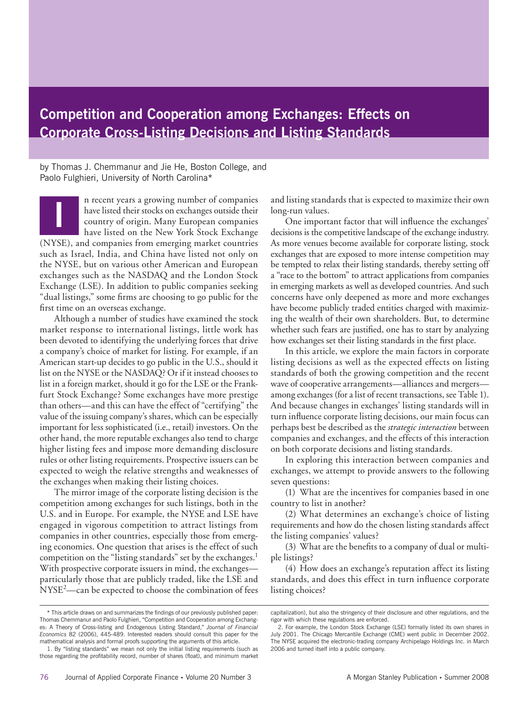## **Competition and Cooperation among Exchanges: Effects on Corporate Cross-Listing Decisions and Listing Standards**

by Thomas J. Chemmanur and Jie He, Boston College, and Paolo Fulghieri, University of North Carolina\*

**I** n recent years a growing number of companies have listed their stocks on exchanges outside their country of origin. Many European companies have listed on the New York Stock Exchange (NYSE), and companies from emerging market countries such as Israel, India, and China have listed not only on the NYSE, but on various other American and European exchanges such as the NASDAQ and the London Stock Exchange (LSE). In addition to public companies seeking "dual listings," some firms are choosing to go public for the first time on an overseas exchange.

Although a number of studies have examined the stock market response to international listings, little work has been devoted to identifying the underlying forces that drive a company's choice of market for listing. For example, if an American start-up decides to go public in the U.S., should it list on the NYSE or the NASDAQ? Or if it instead chooses to list in a foreign market, should it go for the LSE or the Frankfurt Stock Exchange? Some exchanges have more prestige than others—and this can have the effect of "certifying" the value of the issuing company's shares, which can be especially important for less sophisticated (i.e., retail) investors. On the other hand, the more reputable exchanges also tend to charge higher listing fees and impose more demanding disclosure rules or other listing requirements. Prospective issuers can be expected to weigh the relative strengths and weaknesses of the exchanges when making their listing choices.

The mirror image of the corporate listing decision is the competition among exchanges for such listings, both in the U.S. and in Europe. For example, the NYSE and LSE have engaged in vigorous competition to attract listings from companies in other countries, especially those from emerging economies. One question that arises is the effect of such competition on the "listing standards" set by the exchanges.<sup>1</sup> With prospective corporate issuers in mind, the exchanges particularly those that are publicly traded, like the LSE and NYSE<sup>2</sup>—can be expected to choose the combination of fees and listing standards that is expected to maximize their own long-run values.

One important factor that will influence the exchanges' decisions is the competitive landscape of the exchange industry. As more venues become available for corporate listing, stock exchanges that are exposed to more intense competition may be tempted to relax their listing standards, thereby setting off a "race to the bottom" to attract applications from companies in emerging markets as well as developed countries. And such concerns have only deepened as more and more exchanges have become publicly traded entities charged with maximizing the wealth of their own shareholders. But, to determine whether such fears are justified, one has to start by analyzing how exchanges set their listing standards in the first place.

In this article, we explore the main factors in corporate listing decisions as well as the expected effects on listing standards of both the growing competition and the recent wave of cooperative arrangements—alliances and mergers among exchanges (for a list of recent transactions, see Table 1). And because changes in exchanges' listing standards will in turn influence corporate listing decisions, our main focus can perhaps best be described as the *strategic interaction* between companies and exchanges, and the effects of this interaction on both corporate decisions and listing standards.

In exploring this interaction between companies and exchanges, we attempt to provide answers to the following seven questions:

(1) What are the incentives for companies based in one country to list in another?

(2) What determines an exchange's choice of listing requirements and how do the chosen listing standards affect the listing companies' values?

(3) What are the benefits to a company of dual or multiple listings?

(4) How does an exchange's reputation affect its listing standards, and does this effect in turn influence corporate listing choices?

<sup>\*</sup> This article draws on and summarizes the findings of our previously published paper: Thomas Chemmanur and Paolo Fulghieri, "Competition and Cooperation among Exchanges: A Theory of Cross-listing and Endogenous Listing Standard," *Journal of Financial Economics* 82 (2006), 445-489. Interested readers should consult this paper for the mathematical analysis and formal proofs supporting the arguments of this article.

<sup>1.</sup> By "listing standards" we mean not only the initial listing requirements (such as those regarding the profitability record, number of shares (float), and minimum market

capitalization), but also the stringency of their disclosure and other regulations, and the rigor with which these regulations are enforced.

<sup>2.</sup> For example, the London Stock Exchange (LSE) formally listed its own shares in July 2001. The Chicago Mercantile Exchange (CME) went public in December 2002. The NYSE acquired the electronic-trading company Archipelago Holdings Inc. in March 2006 and turned itself into a public company.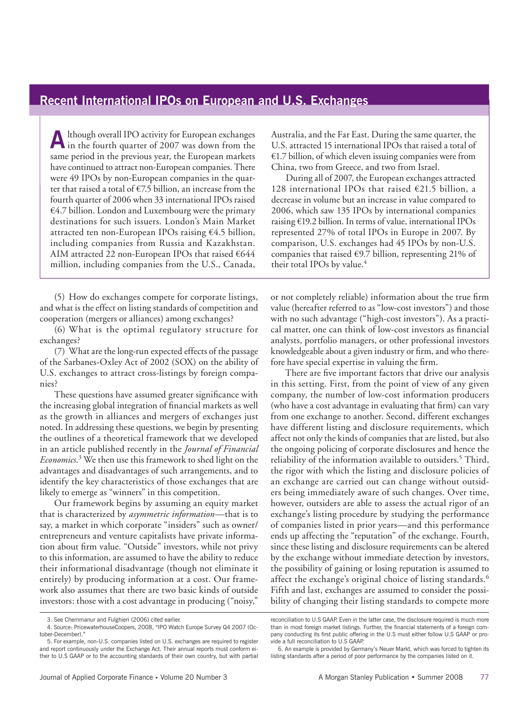### **Recent International IPOs on European and U.S. Exchanges**

**A**lthough overall IPO activity for European exchanges in the fourth quarter of 2007 was down from the same period in the previous year, the European markets have continued to attract non-European companies. There were 49 IPOs by non-European companies in the quarter that raised a total of €7.5 billion, an increase from the fourth quarter of 2006 when 33 international IPOs raised  $€4.7$  billion. London and Luxembourg were the primary destinations for such issuers. London's Main Market attracted ten non-European IPOs raising €4.5 billion, including companies from Russia and Kazakhstan. AIM attracted 22 non-European IPOs that raised €644 million, including companies from the U.S., Canada,

(5) How do exchanges compete for corporate listings, and what is the effect on listing standards of competition and cooperation (mergers or alliances) among exchanges?

(6) What is the optimal regulatory structure for exchanges?

(7) What are the long-run expected effects of the passage of the Sarbanes-Oxley Act of 2002 (SOX) on the ability of U.S. exchanges to attract cross-listings by foreign companies?

These questions have assumed greater significance with the increasing global integration of financial markets as well as the growth in alliances and mergers of exchanges just noted. In addressing these questions, we begin by presenting the outlines of a theoretical framework that we developed in an article published recently in the *Journal of Financial Economics*. 3 We then use this framework to shed light on the advantages and disadvantages of such arrangements, and to identify the key characteristics of those exchanges that are likely to emerge as "winners" in this competition.

Our framework begins by assuming an equity market that is characterized by *asymmetric information*—that is to say, a market in which corporate "insiders" such as owner/ entrepreneurs and venture capitalists have private information about firm value. "Outside" investors, while not privy to this information, are assumed to have the ability to reduce their informational disadvantage (though not eliminate it entirely) by producing information at a cost. Our framework also assumes that there are two basic kinds of outside investors: those with a cost advantage in producing ("noisy,"

Australia, and the Far East. During the same quarter, the U.S. attracted 15 international IPOs that raised a total of €1.7 billion, of which eleven issuing companies were from China, two from Greece, and two from Israel.

During all of 2007, the European exchanges attracted 128 international IPOs that raised  $£21.5$  billion, a decrease in volume but an increase in value compared to 2006, which saw 135 IPOs by international companies raising €19.2 billion. In terms of value, international IPOs represented 27% of total IPOs in Europe in 2007. By comparison, U.S. exchanges had 45 IPOs by non-U.S. companies that raised  $\epsilon$ 9.7 billion, representing 21% of their total IPOs by value.<sup>4</sup>

or not completely reliable) information about the true firm value (hereafter referred to as "low-cost investors") and those with no such advantage ("high-cost investors"). As a practical matter, one can think of low-cost investors as financial analysts, portfolio managers, or other professional investors knowledgeable about a given industry or firm, and who therefore have special expertise in valuing the firm.

There are five important factors that drive our analysis in this setting. First, from the point of view of any given company, the number of low-cost information producers (who have a cost advantage in evaluating that firm) can vary from one exchange to another. Second, different exchanges have different listing and disclosure requirements, which affect not only the kinds of companies that are listed, but also the ongoing policing of corporate disclosures and hence the reliability of the information available to outsiders.<sup>5</sup> Third, the rigor with which the listing and disclosure policies of an exchange are carried out can change without outsiders being immediately aware of such changes. Over time, however, outsiders are able to assess the actual rigor of an exchange's listing procedure by studying the performance of companies listed in prior years—and this performance ends up affecting the "reputation" of the exchange. Fourth, since these listing and disclosure requirements can be altered by the exchange without immediate detection by investors, the possibility of gaining or losing reputation is assumed to affect the exchange's original choice of listing standards.<sup>6</sup> Fifth and last, exchanges are assumed to consider the possibility of changing their listing standards to compete more

<sup>3.</sup> See Chemmanur and Fulghieri (2006) cited earlier.

<sup>4.</sup> Source: PricewaterhouseCoopers, 2008, "IPO Watch Europe Survey Q4 2007 (October-December)."

<sup>5.</sup> For example, non-U.S. companies listed on U.S. exchanges are required to register and report continuously under the Exchange Act. Their annual reports must conform either to U.S GAAP or to the accounting standards of their own country, but with partial

reconciliation to U.S GAAP. Even in the latter case, the disclosure required is much more than in most foreign market listings. Further, the financial statements of a foreign company conducting its first public offering in the U.S must either follow U.S GAAP or provide a full reconciliation to U.S GAAP.

<sup>6.</sup> An example is provided by Germany's Neuer Markt, which was forced to tighten its listing standards after a period of poor performance by the companies listed on it.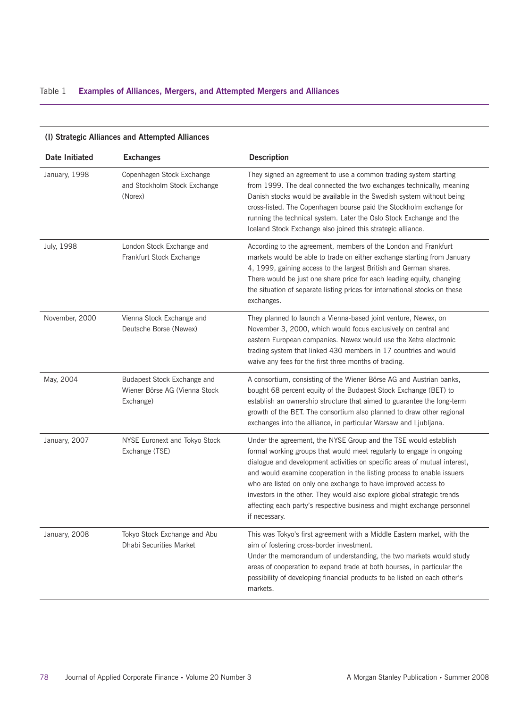| Date Initiated | <b>Exchanges</b>                                                          | <b>Description</b>                                                                                                                                                                                                                                                                                                                                                                                                                                                                                                                      |
|----------------|---------------------------------------------------------------------------|-----------------------------------------------------------------------------------------------------------------------------------------------------------------------------------------------------------------------------------------------------------------------------------------------------------------------------------------------------------------------------------------------------------------------------------------------------------------------------------------------------------------------------------------|
| January, 1998  | Copenhagen Stock Exchange<br>and Stockholm Stock Exchange<br>(Norex)      | They signed an agreement to use a common trading system starting<br>from 1999. The deal connected the two exchanges technically, meaning<br>Danish stocks would be available in the Swedish system without being<br>cross-listed. The Copenhagen bourse paid the Stockholm exchange for<br>running the technical system. Later the Oslo Stock Exchange and the<br>Iceland Stock Exchange also joined this strategic alliance.                                                                                                           |
| July, 1998     | London Stock Exchange and<br>Frankfurt Stock Exchange                     | According to the agreement, members of the London and Frankfurt<br>markets would be able to trade on either exchange starting from January<br>4, 1999, gaining access to the largest British and German shares.<br>There would be just one share price for each leading equity, changing<br>the situation of separate listing prices for international stocks on these<br>exchanges.                                                                                                                                                    |
| November, 2000 | Vienna Stock Exchange and<br>Deutsche Borse (Newex)                       | They planned to launch a Vienna-based joint venture, Newex, on<br>November 3, 2000, which would focus exclusively on central and<br>eastern European companies. Newex would use the Xetra electronic<br>trading system that linked 430 members in 17 countries and would<br>waive any fees for the first three months of trading.                                                                                                                                                                                                       |
| May, 2004      | Budapest Stock Exchange and<br>Wiener Börse AG (Vienna Stock<br>Exchange) | A consortium, consisting of the Wiener Börse AG and Austrian banks,<br>bought 68 percent equity of the Budapest Stock Exchange (BET) to<br>establish an ownership structure that aimed to guarantee the long-term<br>growth of the BET. The consortium also planned to draw other regional<br>exchanges into the alliance, in particular Warsaw and Ljubljana.                                                                                                                                                                          |
| January, 2007  | NYSE Euronext and Tokyo Stock<br>Exchange (TSE)                           | Under the agreement, the NYSE Group and the TSE would establish<br>formal working groups that would meet regularly to engage in ongoing<br>dialogue and development activities on specific areas of mutual interest,<br>and would examine cooperation in the listing process to enable issuers<br>who are listed on only one exchange to have improved access to<br>investors in the other. They would also explore global strategic trends<br>affecting each party's respective business and might exchange personnel<br>if necessary. |
| January, 2008  | Tokyo Stock Exchange and Abu<br><b>Dhabi Securities Market</b>            | This was Tokyo's first agreement with a Middle Eastern market, with the<br>aim of fostering cross-border investment.<br>Under the memorandum of understanding, the two markets would study<br>areas of cooperation to expand trade at both bourses, in particular the<br>possibility of developing financial products to be listed on each other's<br>markets.                                                                                                                                                                          |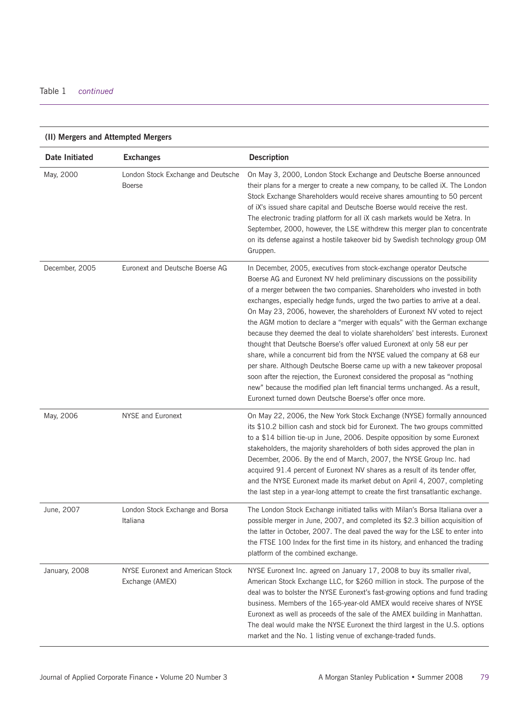| Date Initiated | <b>Exchanges</b>                                           | <b>Description</b>                                                                                                                                                                                                                                                                                                                                                                                                                                                                                                                                                                                                                                                                                                                                                                                                                                                                                                                                                                                                   |
|----------------|------------------------------------------------------------|----------------------------------------------------------------------------------------------------------------------------------------------------------------------------------------------------------------------------------------------------------------------------------------------------------------------------------------------------------------------------------------------------------------------------------------------------------------------------------------------------------------------------------------------------------------------------------------------------------------------------------------------------------------------------------------------------------------------------------------------------------------------------------------------------------------------------------------------------------------------------------------------------------------------------------------------------------------------------------------------------------------------|
| May, 2000      | London Stock Exchange and Deutsche<br>Boerse               | On May 3, 2000, London Stock Exchange and Deutsche Boerse announced<br>their plans for a merger to create a new company, to be called iX. The London<br>Stock Exchange Shareholders would receive shares amounting to 50 percent<br>of iX's issued share capital and Deutsche Boerse would receive the rest.<br>The electronic trading platform for all iX cash markets would be Xetra. In<br>September, 2000, however, the LSE withdrew this merger plan to concentrate<br>on its defense against a hostile takeover bid by Swedish technology group OM<br>Gruppen.                                                                                                                                                                                                                                                                                                                                                                                                                                                 |
| December, 2005 | Euronext and Deutsche Boerse AG                            | In December, 2005, executives from stock-exchange operator Deutsche<br>Boerse AG and Euronext NV held preliminary discussions on the possibility<br>of a merger between the two companies. Shareholders who invested in both<br>exchanges, especially hedge funds, urged the two parties to arrive at a deal.<br>On May 23, 2006, however, the shareholders of Euronext NV voted to reject<br>the AGM motion to declare a "merger with equals" with the German exchange<br>because they deemed the deal to violate shareholders' best interests. Euronext<br>thought that Deutsche Boerse's offer valued Euronext at only 58 eur per<br>share, while a concurrent bid from the NYSE valued the company at 68 eur<br>per share. Although Deutsche Boerse came up with a new takeover proposal<br>soon after the rejection, the Euronext considered the proposal as "nothing<br>new" because the modified plan left financial terms unchanged. As a result,<br>Euronext turned down Deutsche Boerse's offer once more. |
| May, 2006      | NYSE and Euronext                                          | On May 22, 2006, the New York Stock Exchange (NYSE) formally announced<br>its \$10.2 billion cash and stock bid for Euronext. The two groups committed<br>to a \$14 billion tie-up in June, 2006. Despite opposition by some Euronext<br>stakeholders, the majority shareholders of both sides approved the plan in<br>December, 2006. By the end of March, 2007, the NYSE Group Inc. had<br>acquired 91.4 percent of Euronext NV shares as a result of its tender offer,<br>and the NYSE Euronext made its market debut on April 4, 2007, completing<br>the last step in a year-long attempt to create the first transatlantic exchange.                                                                                                                                                                                                                                                                                                                                                                            |
| June, 2007     | London Stock Exchange and Borsa<br>Italiana                | The London Stock Exchange initiated talks with Milan's Borsa Italiana over a<br>possible merger in June, 2007, and completed its \$2.3 billion acquisition of<br>the latter in October, 2007. The deal paved the way for the LSE to enter into<br>the FTSE 100 Index for the first time in its history, and enhanced the trading<br>platform of the combined exchange.                                                                                                                                                                                                                                                                                                                                                                                                                                                                                                                                                                                                                                               |
| January, 2008  | <b>NYSE Euronext and American Stock</b><br>Exchange (AMEX) | NYSE Euronext Inc. agreed on January 17, 2008 to buy its smaller rival,<br>American Stock Exchange LLC, for \$260 million in stock. The purpose of the<br>deal was to bolster the NYSE Euronext's fast-growing options and fund trading<br>business. Members of the 165-year-old AMEX would receive shares of NYSE<br>Euronext as well as proceeds of the sale of the AMEX building in Manhattan.<br>The deal would make the NYSE Euronext the third largest in the U.S. options<br>market and the No. 1 listing venue of exchange-traded funds.                                                                                                                                                                                                                                                                                                                                                                                                                                                                     |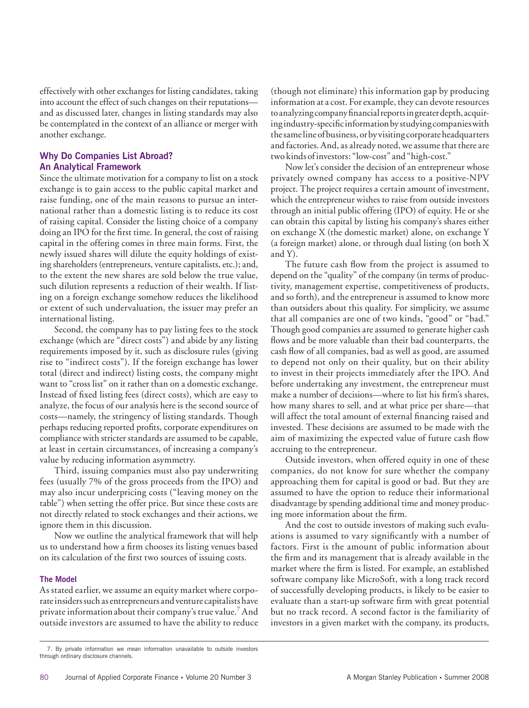effectively with other exchanges for listing candidates, taking into account the effect of such changes on their reputations and as discussed later, changes in listing standards may also be contemplated in the context of an alliance or merger with another exchange.

#### **Why Do Companies List Abroad? An Analytical Framework**

Since the ultimate motivation for a company to list on a stock exchange is to gain access to the public capital market and raise funding, one of the main reasons to pursue an international rather than a domestic listing is to reduce its cost of raising capital. Consider the listing choice of a company doing an IPO for the first time. In general, the cost of raising capital in the offering comes in three main forms. First, the newly issued shares will dilute the equity holdings of existing shareholders (entrepreneurs, venture capitalists, etc.); and, to the extent the new shares are sold below the true value, such dilution represents a reduction of their wealth. If listing on a foreign exchange somehow reduces the likelihood or extent of such undervaluation, the issuer may prefer an international listing.

Second, the company has to pay listing fees to the stock exchange (which are "direct costs") and abide by any listing requirements imposed by it, such as disclosure rules (giving rise to "indirect costs"). If the foreign exchange has lower total (direct and indirect) listing costs, the company might want to "cross list" on it rather than on a domestic exchange. Instead of fixed listing fees (direct costs), which are easy to analyze, the focus of our analysis here is the second source of costs—namely, the stringency of listing standards. Though perhaps reducing reported profits, corporate expenditures on compliance with stricter standards are assumed to be capable, at least in certain circumstances, of increasing a company's value by reducing information asymmetry.

Third, issuing companies must also pay underwriting fees (usually 7% of the gross proceeds from the IPO) and may also incur underpricing costs ("leaving money on the table") when setting the offer price. But since these costs are not directly related to stock exchanges and their actions, we ignore them in this discussion.

Now we outline the analytical framework that will help us to understand how a firm chooses its listing venues based on its calculation of the first two sources of issuing costs.

#### **The Model**

As stated earlier, we assume an equity market where corporate insiders such as entrepreneurs and venture capitalists have private informationabout their company's true value.<sup>7</sup> And outside investors are assumed to have the ability to reduce

(though not eliminate) this information gap by producing information at a cost. For example, they can devote resources to analyzing company financial reports in greater depth, acquiring industry-specific information by studying companies with the same line of business, or by visiting corporate headquarters and factories. And, as already noted, we assume that there are two kinds of investors: "low-cost" and "high-cost."

Now let's consider the decision of an entrepreneur whose privately owned company has access to a positive-NPV project. The project requires a certain amount of investment, which the entrepreneur wishes to raise from outside investors through an initial public offering (IPO) of equity. He or she can obtain this capital by listing his company's shares either on exchange X (the domestic market) alone, on exchange Y (a foreign market) alone, or through dual listing (on both X and Y).

The future cash flow from the project is assumed to depend on the "quality" of the company (in terms of productivity, management expertise, competitiveness of products, and so forth), and the entrepreneur is assumed to know more than outsiders about this quality. For simplicity, we assume that all companies are one of two kinds, "good" or "bad." Though good companies are assumed to generate higher cash flows and be more valuable than their bad counterparts, the cash flow of all companies, bad as well as good, are assumed to depend not only on their quality, but on their ability to invest in their projects immediately after the IPO. And before undertaking any investment, the entrepreneur must make a number of decisions—where to list his firm's shares, how many shares to sell, and at what price per share—that will affect the total amount of external financing raised and invested. These decisions are assumed to be made with the aim of maximizing the expected value of future cash flow accruing to the entrepreneur.

Outside investors, when offered equity in one of these companies, do not know for sure whether the company approaching them for capital is good or bad. But they are assumed to have the option to reduce their informational disadvantage by spending additional time and money producing more information about the firm.

And the cost to outside investors of making such evaluations is assumed to vary significantly with a number of factors. First is the amount of public information about the firm and its management that is already available in the market where the firm is listed. For example, an established software company like MicroSoft, with a long track record of successfully developing products, is likely to be easier to evaluate than a start-up software firm with great potential but no track record. A second factor is the familiarity of investors in a given market with the company, its products,

<sup>7.</sup> By private information we mean information unavailable to outside investors through ordinary disclosure channels.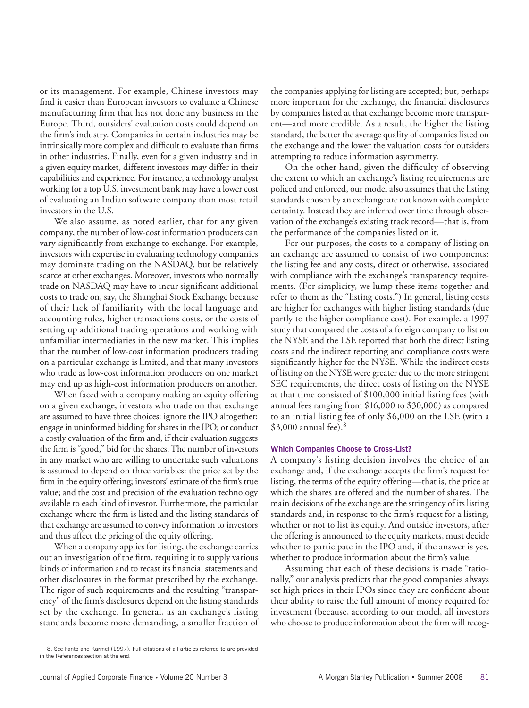or its management. For example, Chinese investors may find it easier than European investors to evaluate a Chinese manufacturing firm that has not done any business in the Europe. Third, outsiders' evaluation costs could depend on the firm's industry. Companies in certain industries may be intrinsically more complex and difficult to evaluate than firms in other industries. Finally, even for a given industry and in a given equity market, different investors may differ in their capabilities and experience. For instance, a technology analyst working for a top U.S. investment bank may have a lower cost of evaluating an Indian software company than most retail investors in the U.S.

We also assume, as noted earlier, that for any given company, the number of low-cost information producers can vary significantly from exchange to exchange. For example, investors with expertise in evaluating technology companies may dominate trading on the NASDAQ, but be relatively scarce at other exchanges. Moreover, investors who normally trade on NASDAQ may have to incur significant additional costs to trade on, say, the Shanghai Stock Exchange because of their lack of familiarity with the local language and accounting rules, higher transactions costs, or the costs of setting up additional trading operations and working with unfamiliar intermediaries in the new market. This implies that the number of low-cost information producers trading on a particular exchange is limited, and that many investors who trade as low-cost information producers on one market may end up as high-cost information producers on another.

When faced with a company making an equity offering on a given exchange, investors who trade on that exchange are assumed to have three choices: ignore the IPO altogether; engage in uninformed bidding for shares in the IPO; or conduct a costly evaluation of the firm and, if their evaluation suggests the firm is "good," bid for the shares. The number of investors in any market who are willing to undertake such valuations is assumed to depend on three variables: the price set by the firm in the equity offering; investors' estimate of the firm's true value; and the cost and precision of the evaluation technology available to each kind of investor. Furthermore, the particular exchange where the firm is listed and the listing standards of that exchange are assumed to convey information to investors and thus affect the pricing of the equity offering.

When a company applies for listing, the exchange carries out an investigation of the firm, requiring it to supply various kinds of information and to recast its financial statements and other disclosures in the format prescribed by the exchange. The rigor of such requirements and the resulting "transparency" of the firm's disclosures depend on the listing standards set by the exchange. In general, as an exchange's listing standards become more demanding, a smaller fraction of

the companies applying for listing are accepted; but, perhaps more important for the exchange, the financial disclosures by companies listed at that exchange become more transparent—and more credible. As a result, the higher the listing standard, the better the average quality of companies listed on the exchange and the lower the valuation costs for outsiders attempting to reduce information asymmetry.

On the other hand, given the difficulty of observing the extent to which an exchange's listing requirements are policed and enforced, our model also assumes that the listing standards chosen by an exchange are not known with complete certainty. Instead they are inferred over time through observation of the exchange's existing track record—that is, from the performance of the companies listed on it.

For our purposes, the costs to a company of listing on an exchange are assumed to consist of two components: the listing fee and any costs, direct or otherwise, associated with compliance with the exchange's transparency requirements. (For simplicity, we lump these items together and refer to them as the "listing costs.") In general, listing costs are higher for exchanges with higher listing standards (due partly to the higher compliance cost). For example, a 1997 study that compared the costs of a foreign company to list on the NYSE and the LSE reported that both the direct listing costs and the indirect reporting and compliance costs were significantly higher for the NYSE. While the indirect costs of listing on the NYSE were greater due to the more stringent SEC requirements, the direct costs of listing on the NYSE at that time consisted of \$100,000 initial listing fees (with annual fees ranging from \$16,000 to \$30,000) as compared to an initial listing fee of only \$6,000 on the LSE (with a  $$3,000$  annual fee).<sup>8</sup>

#### **Which Companies Choose to Cross-List?**

A company's listing decision involves the choice of an exchange and, if the exchange accepts the firm's request for listing, the terms of the equity offering—that is, the price at which the shares are offered and the number of shares. The main decisions of the exchange are the stringency of its listing standards and, in response to the firm's request for a listing, whether or not to list its equity. And outside investors, after the offering is announced to the equity markets, must decide whether to participate in the IPO and, if the answer is yes, whether to produce information about the firm's value.

Assuming that each of these decisions is made "rationally," our analysis predicts that the good companies always set high prices in their IPOs since they are confident about their ability to raise the full amount of money required for investment (because, according to our model, all investors who choose to produce information about the firm will recog-

<sup>8.</sup> See Fanto and Karmel (1997). Full citations of all articles referred to are provided in the References section at the end.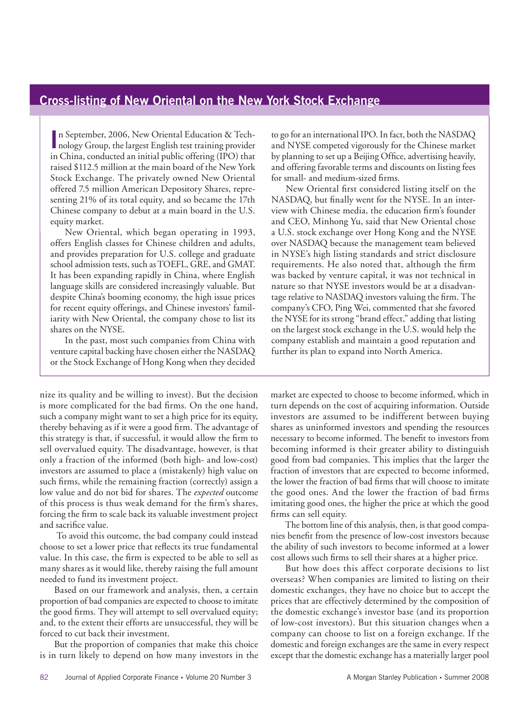## **Cross-listing of New Oriental on the New York Stock Exchange**

**I**n September, 2006, New Oriental Education & Technology Group, the largest English test training provider n September, 2006, New Oriental Education & Techin China, conducted an initial public offering (IPO) that raised \$112.5 million at the main board of the New York Stock Exchange. The privately owned New Oriental offered 7.5 million American Depository Shares, representing 21% of its total equity, and so became the 17th Chinese company to debut at a main board in the U.S. equity market.

New Oriental, which began operating in 1993, offers English classes for Chinese children and adults, and provides preparation for U.S. college and graduate school admission tests, such as TOEFL, GRE, and GMAT. It has been expanding rapidly in China, where English language skills are considered increasingly valuable. But despite China's booming economy, the high issue prices for recent equity offerings, and Chinese investors' familiarity with New Oriental, the company chose to list its shares on the NYSE.

In the past, most such companies from China with venture capital backing have chosen either the NASDAQ or the Stock Exchange of Hong Kong when they decided

nize its quality and be willing to invest). But the decision is more complicated for the bad firms. On the one hand, such a company might want to set a high price for its equity, thereby behaving as if it were a good firm. The advantage of this strategy is that, if successful, it would allow the firm to sell overvalued equity. The disadvantage, however, is that only a fraction of the informed (both high- and low-cost) investors are assumed to place a (mistakenly) high value on such firms, while the remaining fraction (correctly) assign a low value and do not bid for shares. The *expected* outcome of this process is thus weak demand for the firm's shares, forcing the firm to scale back its valuable investment project and sacrifice value.

 To avoid this outcome, the bad company could instead choose to set a lower price that reflects its true fundamental value. In this case, the firm is expected to be able to sell as many shares as it would like, thereby raising the full amount needed to fund its investment project.

Based on our framework and analysis, then, a certain proportion of bad companies are expected to choose to imitate the good firms. They will attempt to sell overvalued equity; and, to the extent their efforts are unsuccessful, they will be forced to cut back their investment.

But the proportion of companies that make this choice is in turn likely to depend on how many investors in the to go for an international IPO. In fact, both the NASDAQ and NYSE competed vigorously for the Chinese market by planning to set up a Beijing Office, advertising heavily, and offering favorable terms and discounts on listing fees for small- and medium-sized firms.

New Oriental first considered listing itself on the NASDAQ, but finally went for the NYSE. In an interview with Chinese media, the education firm's founder and CEO, Minhong Yu, said that New Oriental chose a U.S. stock exchange over Hong Kong and the NYSE over NASDAQ because the management team believed in NYSE's high listing standards and strict disclosure requirements. He also noted that, although the firm was backed by venture capital, it was not technical in nature so that NYSE investors would be at a disadvantage relative to NASDAQ investors valuing the firm. The company's CFO, Ping Wei, commented that she favored the NYSE for its strong "brand effect," adding that listing on the largest stock exchange in the U.S. would help the company establish and maintain a good reputation and further its plan to expand into North America.

market are expected to choose to become informed, which in turn depends on the cost of acquiring information. Outside investors are assumed to be indifferent between buying shares as uninformed investors and spending the resources necessary to become informed. The benefit to investors from becoming informed is their greater ability to distinguish good from bad companies. This implies that the larger the fraction of investors that are expected to become informed, the lower the fraction of bad firms that will choose to imitate the good ones. And the lower the fraction of bad firms imitating good ones, the higher the price at which the good firms can sell equity.

The bottom line of this analysis, then, is that good companies benefit from the presence of low-cost investors because the ability of such investors to become informed at a lower cost allows such firms to sell their shares at a higher price.

But how does this affect corporate decisions to list overseas? When companies are limited to listing on their domestic exchanges, they have no choice but to accept the prices that are effectively determined by the composition of the domestic exchange's investor base (and its proportion of low-cost investors). But this situation changes when a company can choose to list on a foreign exchange. If the domestic and foreign exchanges are the same in every respect except that the domestic exchange has a materially larger pool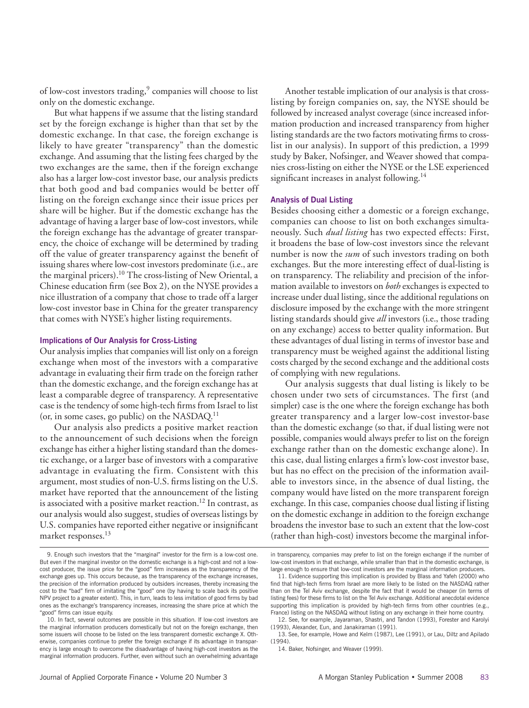of low-cost investors trading,<sup>9</sup> companies will choose to list only on the domestic exchange.

But what happens if we assume that the listing standard set by the foreign exchange is higher than that set by the domestic exchange. In that case, the foreign exchange is likely to have greater "transparency" than the domestic exchange. And assuming that the listing fees charged by the two exchanges are the same, then if the foreign exchange also has a larger low-cost investor base, our analysis predicts that both good and bad companies would be better off listing on the foreign exchange since their issue prices per share will be higher. But if the domestic exchange has the advantage of having a larger base of low-cost investors, while the foreign exchange has the advantage of greater transparency, the choice of exchange will be determined by trading off the value of greater transparency against the benefit of issuing shares where low-cost investors predominate (i.e., are the marginal pricers).<sup>10</sup> The cross-listing of New Oriental, a Chinese education firm (see Box 2), on the NYSE provides a nice illustration of a company that chose to trade off a larger low-cost investor base in China for the greater transparency that comes with NYSE's higher listing requirements.

#### **Implications of Our Analysis for Cross-Listing**

Our analysis implies that companies will list only on a foreign exchange when most of the investors with a comparative advantage in evaluating their firm trade on the foreign rather than the domestic exchange, and the foreign exchange has at least a comparable degree of transparency. A representative case is the tendency of some high-tech firms from Israel to list (or, in some cases, go public) on the NASDAQ.11

Our analysis also predicts a positive market reaction to the announcement of such decisions when the foreign exchange has either a higher listing standard than the domestic exchange, or a larger base of investors with a comparative advantage in evaluating the firm. Consistent with this argument, most studies of non-U.S. firms listing on the U.S. market have reported that the announcement of the listing is associated with a positive market reaction.<sup>12</sup> In contrast, as our analysis would also suggest, studies of overseas listings by U.S. companies have reported either negative or insignificant market responses.<sup>13</sup>

Another testable implication of our analysis is that crosslisting by foreign companies on, say, the NYSE should be followed by increased analyst coverage (since increased information production and increased transparency from higher listing standards are the two factors motivating firms to crosslist in our analysis). In support of this prediction, a 1999 study by Baker, Nofsinger, and Weaver showed that companies cross-listing on either the NYSE or the LSE experienced significant increases in analyst following.<sup>14</sup>

#### **Analysis of Dual Listing**

Besides choosing either a domestic or a foreign exchange, companies can choose to list on both exchanges simultaneously. Such *dual listing* has two expected effects: First, it broadens the base of low-cost investors since the relevant number is now the *sum* of such investors trading on both exchanges. But the more interesting effect of dual-listing is on transparency. The reliability and precision of the information available to investors on *both* exchanges is expected to increase under dual listing, since the additional regulations on disclosure imposed by the exchange with the more stringent listing standards should give *all* investors (i.e., those trading on any exchange) access to better quality information. But these advantages of dual listing in terms of investor base and transparency must be weighed against the additional listing costs charged by the second exchange and the additional costs of complying with new regulations.

Our analysis suggests that dual listing is likely to be chosen under two sets of circumstances. The first (and simpler) case is the one where the foreign exchange has both greater transparency and a larger low-cost investor-base than the domestic exchange (so that, if dual listing were not possible, companies would always prefer to list on the foreign exchange rather than on the domestic exchange alone). In this case, dual listing enlarges a firm's low-cost investor base, but has no effect on the precision of the information available to investors since, in the absence of dual listing, the company would have listed on the more transparent foreign exchange. In this case, companies choose dual listing if listing on the domestic exchange in addition to the foreign exchange broadens the investor base to such an extent that the low-cost (rather than high-cost) investors become the marginal infor-

<sup>9.</sup> Enough such investors that the "marginal" investor for the firm is a low-cost one. But even if the marginal investor on the domestic exchange is a high-cost and not a lowcost producer, the issue price for the "good" firm increases as the transparency of the exchange goes up. This occurs because, as the transparency of the exchange increases, the precision of the information produced by outsiders increases, thereby increasing the cost to the "bad" firm of imitating the "good" one (by having to scale back its positive NPV project to a greater extent). This, in turn, leads to less imitation of good firms by bad ones as the exchange's transparency increases, increasing the share price at which the "good" firms can issue equity.

<sup>10.</sup> In fact, several outcomes are possible in this situation. If low-cost investors are the marginal information producers domestically but not on the foreign exchange, then some issuers will choose to be listed on the less transparent domestic exchange X. Otherwise, companies continue to prefer the foreign exchange if its advantage in transparency is large enough to overcome the disadvantage of having high-cost investors as the marginal information producers. Further, even without such an overwhelming advantage

in transparency, companies may prefer to list on the foreign exchange if the number of low-cost investors in that exchange, while smaller than that in the domestic exchange, is large enough to ensure that low-cost investors are the marginal information producers.

<sup>11.</sup> Evidence supporting this implication is provided by Blass and Yafeh (2000) who find that high-tech firms from Israel are more likely to be listed on the NASDAQ rather than on the Tel Aviv exchange, despite the fact that it would be cheaper (in terms of listing fees) for these firms to list on the Tel Aviv exchange. Additional anecdotal evidence supporting this implication is provided by high-tech firms from other countries (e.g., France) listing on the NASDAQ without listing on any exchange in their home country.

<sup>12.</sup> See, for example, Jayaraman, Shastri, and Tandon (1993), Forester and Karolyi (1993), Alexander, Eun, and Janakiraman (1991).

<sup>13.</sup> See, for example, Howe and Kelm (1987), Lee (1991), or Lau, Diltz and Apilado (1994).

<sup>14.</sup> Baker, Nofsinger, and Weaver (1999).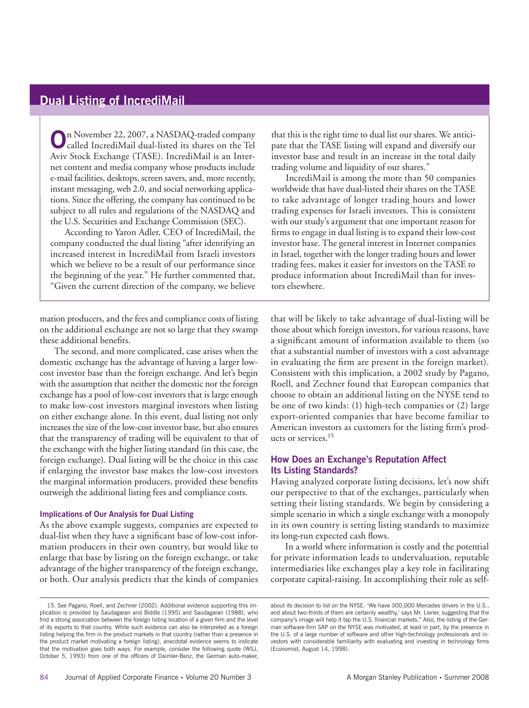## **Dual Listing of IncrediMail**

**O**n November 22, 2007, a NASDAQ-traded company called IncrediMail dual-listed its shares on the Tel Aviv Stock Exchange (TASE). IncrediMail is an Internet content and media company whose products include e-mail facilities, desktops, screen savers, and, more recently, instant messaging, web 2.0, and social networking applications. Since the offering, the company has continued to be subject to all rules and regulations of the NASDAQ and the U.S. Securities and Exchange Commission (SEC).

According to Yaron Adler, CEO of IncrediMail, the company conducted the dual listing "after identifying an increased interest in IncrediMail from Israeli investors which we believe to be a result of our performance since the beginning of the year." He further commented that, "Given the current direction of the company, we believe that this is the right time to dual list our shares. We anticipate that the TASE listing will expand and diversify our investor base and result in an increase in the total daily trading volume and liquidity of our shares."

IncrediMail is among the more than 50 companies worldwide that have dual-listed their shares on the TASE to take advantage of longer trading hours and lower trading expenses for Israeli investors. This is consistent with our study's argument that one important reason for firms to engage in dual listing is to expand their low-cost investor base. The general interest in Internet companies in Israel, together with the longer trading hours and lower trading fees, makes it easier for investors on the TASE to produce information about IncrediMail than for investors elsewhere.

mation producers, and the fees and compliance costs of listing on the additional exchange are not so large that they swamp these additional benefits.

The second, and more complicated, case arises when the domestic exchange has the advantage of having a larger lowcost investor base than the foreign exchange. And let's begin with the assumption that neither the domestic nor the foreign exchange has a pool of low-cost investors that is large enough to make low-cost investors marginal investors when listing on either exchange alone. In this event, dual listing not only increases the size of the low-cost investor base, but also ensures that the transparency of trading will be equivalent to that of the exchange with the higher listing standard (in this case, the foreign exchange). Dual listing will be the choice in this case if enlarging the investor base makes the low-cost investors the marginal information producers, provided these benefits outweigh the additional listing fees and compliance costs.

#### **Implications of Our Analysis for Dual Listing**

As the above example suggests, companies are expected to dual-list when they have a significant base of low-cost information producers in their own country, but would like to enlarge that base by listing on the foreign exchange, or take advantage of the higher transparency of the foreign exchange, or both. Our analysis predicts that the kinds of companies

that will be likely to take advantage of dual-listing will be those about which foreign investors, for various reasons, have a significant amount of information available to them (so that a substantial number of investors with a cost advantage in evaluating the firm are present in the foreign market). Consistent with this implication, a 2002 study by Pagano, Roell, and Zechner found that European companies that choose to obtain an additional listing on the NYSE tend to be one of two kinds: (1) high-tech companies or (2) large export-oriented companies that have become familiar to American investors as customers for the listing firm's products or services.15

#### **How Does an Exchange's Reputation Affect Its Listing Standards?**

Having analyzed corporate listing decisions, let's now shift our perspective to that of the exchanges, particularly when setting their listing standards. We begin by considering a simple scenario in which a single exchange with a monopoly in its own country is setting listing standards to maximize its long-run expected cash flows.

In a world where information is costly and the potential for private information leads to undervaluation, reputable intermediaries like exchanges play a key role in facilitating corporate capital-raising. In accomplishing their role as self-

<sup>15.</sup> See Pagano, Roell, and Zechner (2002). Additional evidence supporting this implication is provided by Saudagaran and Biddle (1995) and Saudagaran (1988), who find a strong association between the foreign listing location of a given firm and the level of its exports to that country. While such evidence can also be interpreted as a foreign listing helping the firm in the product markets in that country (rather than a presence in the product market motivating a foreign listing), anecdotal evidence seems to indicate that the motivation goes both ways. For example, consider the following quote (WSJ, October 5, 1993) from one of the officers of Daimler-Benz, the German auto-maker,

about its decision to list on the NYSE: 'We have 300,000 Mercedes drivers in the U.S., and about two-thirds of them are certainly wealthy,' says Mr. Liener, suggesting that the company's image will help it tap the U.S. financial markets." Also, the listing of the German software firm SAP on the NYSE was motivated, at least in part, by the presence in the U.S. of a large number of software and other high-technology professionals and investors with considerable familiarity with evaluating and investing in technology firms (Economist, August 14, 1998).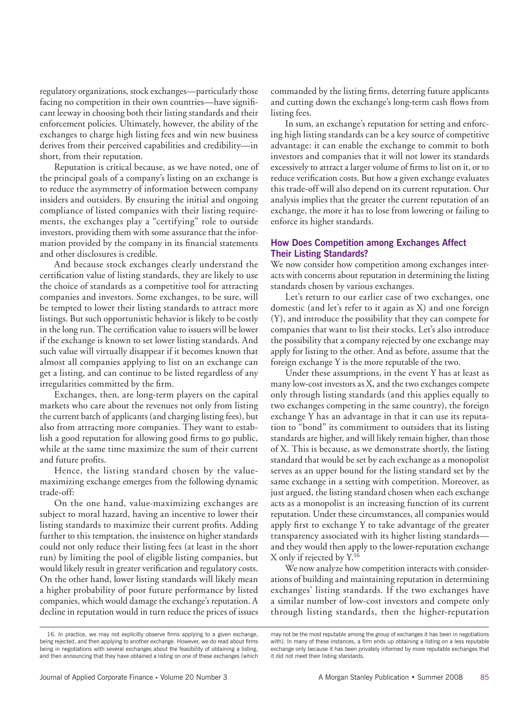regulatory organizations, stock exchanges—particularly those facing no competition in their own countries—have significant leeway in choosing both their listing standards and their enforcement policies. Ultimately, however, the ability of the exchanges to charge high listing fees and win new business derives from their perceived capabilities and credibility—in short, from their reputation.

Reputation is critical because, as we have noted, one of the principal goals of a company's listing on an exchange is to reduce the asymmetry of information between company insiders and outsiders. By ensuring the initial and ongoing compliance of listed companies with their listing requirements, the exchanges play a "certifying" role to outside investors, providing them with some assurance that the information provided by the company in its financial statements and other disclosures is credible.

And because stock exchanges clearly understand the certification value of listing standards, they are likely to use the choice of standards as a competitive tool for attracting companies and investors. Some exchanges, to be sure, will be tempted to lower their listing standards to attract more listings. But such opportunistic behavior is likely to be costly in the long run. The certification value to issuers will be lower if the exchange is known to set lower listing standards. And such value will virtually disappear if it becomes known that almost all companies applying to list on an exchange can get a listing, and can continue to be listed regardless of any irregularities committed by the firm.

Exchanges, then, are long-term players on the capital markets who care about the revenues not only from listing the current batch of applicants (and charging listing fees), but also from attracting more companies. They want to establish a good reputation for allowing good firms to go public, while at the same time maximize the sum of their current and future profits.

Hence, the listing standard chosen by the valuemaximizing exchange emerges from the following dynamic trade-off:

On the one hand, value-maximizing exchanges are subject to moral hazard, having an incentive to lower their listing standards to maximize their current profits. Adding further to this temptation, the insistence on higher standards could not only reduce their listing fees (at least in the short run) by limiting the pool of eligible listing companies, but would likely result in greater verification and regulatory costs. On the other hand, lower listing standards will likely mean a higher probability of poor future performance by listed companies, which would damage the exchange's reputation. A decline in reputation would in turn reduce the prices of issues commanded by the listing firms, deterring future applicants and cutting down the exchange's long-term cash flows from listing fees.

In sum, an exchange's reputation for setting and enforcing high listing standards can be a key source of competitive advantage: it can enable the exchange to commit to both investors and companies that it will not lower its standards excessively to attract a larger volume of firms to list on it, or to reduce verification costs. But how a given exchange evaluates this trade-off will also depend on its current reputation. Our analysis implies that the greater the current reputation of an exchange, the more it has to lose from lowering or failing to enforce its higher standards.

#### **How Does Competition among Exchanges Affect Their Listing Standards?**

We now consider how competition among exchanges interacts with concerns about reputation in determining the listing standards chosen by various exchanges.

Let's return to our earlier case of two exchanges, one domestic (and let's refer to it again as X) and one foreign (Y), and introduce the possibility that they can compete for companies that want to list their stocks. Let's also introduce the possibility that a company rejected by one exchange may apply for listing to the other. And as before, assume that the foreign exchange Y is the more reputable of the two.

Under these assumptions, in the event Y has at least as many low-cost investors as X, and the two exchanges compete only through listing standards (and this applies equally to two exchanges competing in the same country), the foreign exchange Y has an advantage in that it can use its reputation to "bond" its commitment to outsiders that its listing standards are higher, and will likely remain higher, than those of X. This is because, as we demonstrate shortly, the listing standard that would be set by each exchange as a monopolist serves as an upper bound for the listing standard set by the same exchange in a setting with competition. Moreover, as just argued, the listing standard chosen when each exchange acts as a monopolist is an increasing function of its current reputation. Under these circumstances, all companies would apply first to exchange Y to take advantage of the greater transparency associated with its higher listing standards and they would then apply to the lower-reputation exchange  $X$  only if rejected by  $Y<sup>1</sup>$ 

We now analyze how competition interacts with considerations of building and maintaining reputation in determining exchanges' listing standards. If the two exchanges have a similar number of low-cost investors and compete only through listing standards, then the higher-reputation

<sup>16.</sup> In practice, we may not explicitly observe firms applying to a given exchange, being rejected, and then applying to another exchange. However, we do read about firms being in negotiations with several exchanges about the feasibility of obtaining a listing, and then announcing that they have obtained a listing on one of these exchanges (which

may not be the most reputable among the group of exchanges it has been in negotiations with). In many of these instances, a firm ends up obtaining a listing on a less reputable exchange only because it has been privately informed by more reputable exchanges that it did not meet their listing standards.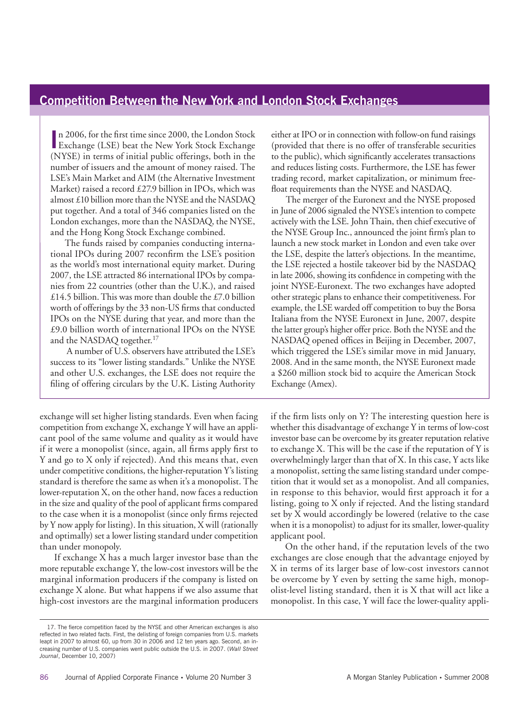## **Competition Between the New York and London Stock Exchanges**

In 2006, for the first time since 2000, the London Stock Exchange (LSE) beat the New York Stock Exchange n 2006, for the first time since 2000, the London Stock (NYSE) in terms of initial public offerings, both in the number of issuers and the amount of money raised. The LSE's Main Market and AIM (the Alternative Investment Market) raised a record £27.9 billion in IPOs, which was almost £10 billion more than the NYSE and the NASDAQ put together. And a total of 346 companies listed on the London exchanges, more than the NASDAQ, the NYSE, and the Hong Kong Stock Exchange combined.

The funds raised by companies conducting international IPOs during 2007 reconfirm the LSE's position as the world's most international equity market. During 2007, the LSE attracted 86 international IPOs by companies from 22 countries (other than the U.K.), and raised £14.5 billion. This was more than double the £7.0 billion worth of offerings by the 33 non-US firms that conducted IPOs on the NYSE during that year, and more than the £9.0 billion worth of international IPOs on the NYSE and the NASDAQ together.<sup>17</sup>

 A number of U.S. observers have attributed the LSE's success to its "lower listing standards." Unlike the NYSE and other U.S. exchanges, the LSE does not require the filing of offering circulars by the U.K. Listing Authority

exchange will set higher listing standards. Even when facing competition from exchange X, exchange Y will have an applicant pool of the same volume and quality as it would have if it were a monopolist (since, again, all firms apply first to Y and go to X only if rejected). And this means that, even under competitive conditions, the higher-reputation Y's listing standard is therefore the same as when it's a monopolist. The lower-reputation X, on the other hand, now faces a reduction in the size and quality of the pool of applicant firms compared to the case when it is a monopolist (since only firms rejected by Y now apply for listing). In this situation, X will (rationally and optimally) set a lower listing standard under competition than under monopoly.

If exchange X has a much larger investor base than the more reputable exchange Y, the low-cost investors will be the marginal information producers if the company is listed on exchange X alone. But what happens if we also assume that high-cost investors are the marginal information producers

17. The fierce competition faced by the NYSE and other American exchanges is also reflected in two related facts. First, the delisting of foreign companies from U.S. markets leapt in 2007 to almost 60, up from 30 in 2006 and 12 ten years ago. Second, an increasing number of U.S. companies went public outside the U.S. in 2007. (*Wall Street Journal*, December 10, 2007)

either at IPO or in connection with follow-on fund raisings (provided that there is no offer of transferable securities to the public), which significantly accelerates transactions and reduces listing costs. Furthermore, the LSE has fewer trading record, market capitalization, or minimum freefloat requirements than the NYSE and NASDAQ.

The merger of the Euronext and the NYSE proposed in June of 2006 signaled the NYSE's intention to compete actively with the LSE. John Thain, then chief executive of the NYSE Group Inc., announced the joint firm's plan to launch a new stock market in London and even take over the LSE, despite the latter's objections. In the meantime, the LSE rejected a hostile takeover bid by the NASDAQ in late 2006, showing its confidence in competing with the joint NYSE-Euronext. The two exchanges have adopted other strategic plans to enhance their competitiveness. For example, the LSE warded off competition to buy the Borsa Italiana from the NYSE Euronext in June, 2007, despite the latter group's higher offer price. Both the NYSE and the NASDAQ opened offices in Beijing in December, 2007, which triggered the LSE's similar move in mid January, 2008. And in the same month, the NYSE Euronext made a \$260 million stock bid to acquire the American Stock Exchange (Amex).

if the firm lists only on Y? The interesting question here is whether this disadvantage of exchange Y in terms of low-cost investor base can be overcome by its greater reputation relative to exchange X. This will be the case if the reputation of Y is overwhelmingly larger than that of X. In this case, Y acts like a monopolist, setting the same listing standard under competition that it would set as a monopolist. And all companies, in response to this behavior, would first approach it for a listing, going to X only if rejected. And the listing standard set by X would accordingly be lowered (relative to the case when it is a monopolist) to adjust for its smaller, lower-quality applicant pool.

On the other hand, if the reputation levels of the two exchanges are close enough that the advantage enjoyed by X in terms of its larger base of low-cost investors cannot be overcome by Y even by setting the same high, monopolist-level listing standard, then it is X that will act like a monopolist. In this case, Y will face the lower-quality appli-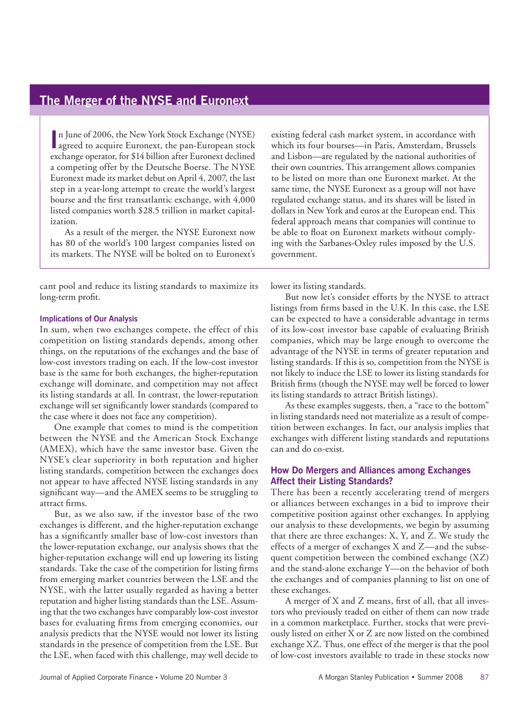## **The Merger of the NYSE and Euronext**

In June of 2006, the New York Stock Exchange (NYSE) agreed to acquire Euronext, the pan-European stock n June of 2006, the New York Stock Exchange (NYSE) exchange operator, for \$14 billion after Euronext declined a competing offer by the Deutsche Boerse. The NYSE Euronext made its market debut on April 4, 2007, the last step in a year-long attempt to create the world's largest bourse and the first transatlantic exchange, with 4,000 listed companies worth \$28.5 trillion in market capitalization.

As a result of the merger, the NYSE Euronext now has 80 of the world's 100 largest companies listed on its markets. The NYSE will be bolted on to Euronext's

cant pool and reduce its listing standards to maximize its long-term profit.

#### **Implications of Our Analysis**

In sum, when two exchanges compete, the effect of this competition on listing standards depends, among other things, on the reputations of the exchanges and the base of low-cost investors trading on each. If the low-cost investor base is the same for both exchanges, the higher-reputation exchange will dominate, and competition may not affect its listing standards at all. In contrast, the lower-reputation exchange will set significantly lower standards (compared to the case where it does not face any competition).

One example that comes to mind is the competition between the NYSE and the American Stock Exchange (AMEX), which have the same investor base. Given the NYSE's clear superiority in both reputation and higher listing standards, competition between the exchanges does not appear to have affected NYSE listing standards in any significant way—and the AMEX seems to be struggling to attract firms.

But, as we also saw, if the investor base of the two exchanges is different, and the higher-reputation exchange has a significantly smaller base of low-cost investors than the lower-reputation exchange, our analysis shows that the higher-reputation exchange will end up lowering its listing standards. Take the case of the competition for listing firms from emerging market countries between the LSE and the NYSE, with the latter usually regarded as having a better reputation and higher listing standards than the LSE. Assuming that the two exchanges have comparably low-cost investor bases for evaluating firms from emerging economies, our analysis predicts that the NYSE would not lower its listing standards in the presence of competition from the LSE. But the LSE, when faced with this challenge, may well decide to

existing federal cash market system, in accordance with which its four bourses—in Paris, Amsterdam, Brussels and Lisbon—are regulated by the national authorities of their own countries. This arrangement allows companies to be listed on more than one Euronext market. At the same time, the NYSE Euronext as a group will not have regulated exchange status, and its shares will be listed in dollars in New York and euros at the European end. This federal approach means that companies will continue to be able to float on Euronext markets without complying with the Sarbanes-Oxley rules imposed by the U.S. government.

lower its listing standards.

But now let's consider efforts by the NYSE to attract listings from firms based in the U.K. In this case, the LSE can be expected to have a considerable advantage in terms of its low-cost investor base capable of evaluating British companies, which may be large enough to overcome the advantage of the NYSE in terms of greater reputation and listing standards. If this is so, competition from the NYSE is not likely to induce the LSE to lower its listing standards for British firms (though the NYSE may well be forced to lower its listing standards to attract British listings).

As these examples suggests, then, a "race to the bottom" in listing standards need not materialize as a result of competition between exchanges. In fact, our analysis implies that exchanges with different listing standards and reputations can and do co-exist.

#### **How Do Mergers and Alliances among Exchanges Affect their Listing Standards?**

There has been a recently accelerating trend of mergers or alliances between exchanges in a bid to improve their competitive position against other exchanges. In applying our analysis to these developments, we begin by assuming that there are three exchanges: X, Y, and Z. We study the effects of a merger of exchanges X and Z—and the subsequent competition between the combined exchange (XZ) and the stand-alone exchange Y—on the behavior of both the exchanges and of companies planning to list on one of these exchanges.

A merger of X and Z means, first of all, that all investors who previously traded on either of them can now trade in a common marketplace. Further, stocks that were previously listed on either X or Z are now listed on the combined exchange XZ. Thus, one effect of the merger is that the pool of low-cost investors available to trade in these stocks now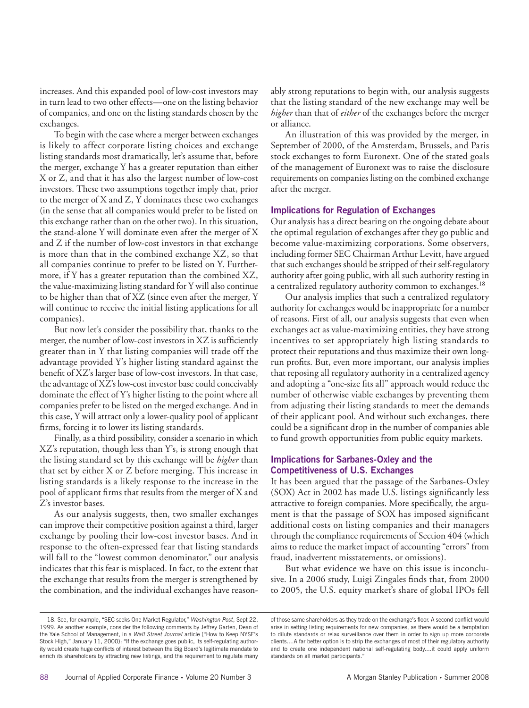increases. And this expanded pool of low-cost investors may in turn lead to two other effects—one on the listing behavior of companies, and one on the listing standards chosen by the exchanges.

To begin with the case where a merger between exchanges is likely to affect corporate listing choices and exchange listing standards most dramatically, let's assume that, before the merger, exchange Y has a greater reputation than either X or Z, and that it has also the largest number of low-cost investors. These two assumptions together imply that, prior to the merger of X and Z, Y dominates these two exchanges (in the sense that all companies would prefer to be listed on this exchange rather than on the other two). In this situation, the stand-alone Y will dominate even after the merger of X and Z if the number of low-cost investors in that exchange is more than that in the combined exchange XZ, so that all companies continue to prefer to be listed on Y. Furthermore, if Y has a greater reputation than the combined XZ, the value-maximizing listing standard for Y will also continue to be higher than that of XZ (since even after the merger, Y will continue to receive the initial listing applications for all companies).

But now let's consider the possibility that, thanks to the merger, the number of low-cost investors in XZ is sufficiently greater than in Y that listing companies will trade off the advantage provided Y's higher listing standard against the benefit of XZ's larger base of low-cost investors. In that case, the advantage of XZ's low-cost investor base could conceivably dominate the effect of Y's higher listing to the point where all companies prefer to be listed on the merged exchange. And in this case, Y will attract only a lower-quality pool of applicant firms, forcing it to lower its listing standards.

Finally, as a third possibility, consider a scenario in which XZ's reputation, though less than Y's, is strong enough that the listing standard set by this exchange will be *higher* than that set by either X or Z before merging. This increase in listing standards is a likely response to the increase in the pool of applicant firms that results from the merger of X and Z's investor bases.

As our analysis suggests, then, two smaller exchanges can improve their competitive position against a third, larger exchange by pooling their low-cost investor bases. And in response to the often-expressed fear that listing standards will fall to the "lowest common denominator," our analysis indicates that this fear is misplaced. In fact, to the extent that the exchange that results from the merger is strengthened by the combination, and the individual exchanges have reasonably strong reputations to begin with, our analysis suggests that the listing standard of the new exchange may well be *higher* than that of *either* of the exchanges before the merger or alliance.

An illustration of this was provided by the merger, in September of 2000, of the Amsterdam, Brussels, and Paris stock exchanges to form Euronext. One of the stated goals of the management of Euronext was to raise the disclosure requirements on companies listing on the combined exchange after the merger.

#### **Implications for Regulation of Exchanges**

Our analysis has a direct bearing on the ongoing debate about the optimal regulation of exchanges after they go public and become value-maximizing corporations. Some observers, including former SEC Chairman Arthur Levitt, have argued that such exchanges should be stripped of their self-regulatory authority after going public, with all such authority resting in a centralized regulatory authority common to exchanges.<sup>18</sup>

Our analysis implies that such a centralized regulatory authority for exchanges would be inappropriate for a number of reasons. First of all, our analysis suggests that even when exchanges act as value-maximizing entities, they have strong incentives to set appropriately high listing standards to protect their reputations and thus maximize their own longrun profits. But, even more important, our analysis implies that reposing all regulatory authority in a centralized agency and adopting a "one-size fits all" approach would reduce the number of otherwise viable exchanges by preventing them from adjusting their listing standards to meet the demands of their applicant pool. And without such exchanges, there could be a significant drop in the number of companies able to fund growth opportunities from public equity markets.

#### **Implications for Sarbanes-Oxley and the Competitiveness of U.S. Exchanges**

It has been argued that the passage of the Sarbanes-Oxley (SOX) Act in 2002 has made U.S. listings significantly less attractive to foreign companies. More specifically, the argument is that the passage of SOX has imposed significant additional costs on listing companies and their managers through the compliance requirements of Section 404 (which aims to reduce the market impact of accounting "errors" from fraud, inadvertent misstatements, or omissions).

But what evidence we have on this issue is inconclusive. In a 2006 study, Luigi Zingales finds that, from 2000 to 2005, the U.S. equity market's share of global IPOs fell

<sup>18.</sup> See, for example, "SEC seeks One Market Regulator," *Washington Post*, Sept 22, 1999. As another example, consider the following comments by Jeffrey Garten, Dean of the Yale School of Management, in a *Wall Street Journal* article ("How to Keep NYSE's Stock High," January 11, 2000): "If the exchange goes public, its self-regulating authority would create huge conflicts of interest between the Big Board's legitimate mandate to enrich its shareholders by attracting new listings, and the requirement to regulate many

of those same shareholders as they trade on the exchange's floor. A second conflict would arise in setting listing requirements for new companies, as there would be a temptation to dilute standards or relax surveillance over them in order to sign up more corporate clients....A far better option is to strip the exchanges of most of their regulatory authority and to create one independent national self-regulating body....it could apply uniform standards on all market participants."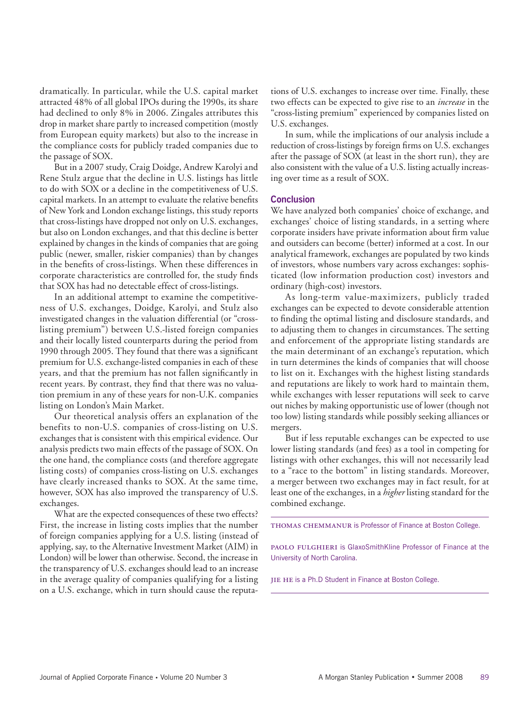dramatically. In particular, while the U.S. capital market attracted 48% of all global IPOs during the 1990s, its share had declined to only 8% in 2006. Zingales attributes this drop in market share partly to increased competition (mostly from European equity markets) but also to the increase in the compliance costs for publicly traded companies due to the passage of SOX.

But in a 2007 study, Craig Doidge, Andrew Karolyi and Rene Stulz argue that the decline in U.S. listings has little to do with SOX or a decline in the competitiveness of U.S. capital markets. In an attempt to evaluate the relative benefits of New York and London exchange listings, this study reports that cross-listings have dropped not only on U.S. exchanges, but also on London exchanges, and that this decline is better explained by changes in the kinds of companies that are going public (newer, smaller, riskier companies) than by changes in the benefits of cross-listings. When these differences in corporate characteristics are controlled for, the study finds that SOX has had no detectable effect of cross-listings.

In an additional attempt to examine the competitiveness of U.S. exchanges, Doidge, Karolyi, and Stulz also investigated changes in the valuation differential (or "crosslisting premium") between U.S.-listed foreign companies and their locally listed counterparts during the period from 1990 through 2005. They found that there was a significant premium for U.S. exchange-listed companies in each of these years, and that the premium has not fallen significantly in recent years. By contrast, they find that there was no valuation premium in any of these years for non-U.K. companies listing on London's Main Market.

Our theoretical analysis offers an explanation of the benefits to non-U.S. companies of cross-listing on U.S. exchanges that is consistent with this empirical evidence. Our analysis predicts two main effects of the passage of SOX. On the one hand, the compliance costs (and therefore aggregate listing costs) of companies cross-listing on U.S. exchanges have clearly increased thanks to SOX. At the same time, however, SOX has also improved the transparency of U.S. exchanges.

What are the expected consequences of these two effects? First, the increase in listing costs implies that the number of foreign companies applying for a U.S. listing (instead of applying, say, to the Alternative Investment Market (AIM) in London) will be lower than otherwise. Second, the increase in the transparency of U.S. exchanges should lead to an increase in the average quality of companies qualifying for a listing on a U.S. exchange, which in turn should cause the reputa-

tions of U.S. exchanges to increase over time. Finally, these two effects can be expected to give rise to an *increase* in the "cross-listing premium" experienced by companies listed on U.S. exchanges.

In sum, while the implications of our analysis include a reduction of cross-listings by foreign firms on U.S. exchanges after the passage of SOX (at least in the short run), they are also consistent with the value of a U.S. listing actually increasing over time as a result of SOX.

#### **Conclusion**

We have analyzed both companies' choice of exchange, and exchanges' choice of listing standards, in a setting where corporate insiders have private information about firm value and outsiders can become (better) informed at a cost. In our analytical framework, exchanges are populated by two kinds of investors, whose numbers vary across exchanges: sophisticated (low information production cost) investors and ordinary (high-cost) investors.

As long-term value-maximizers, publicly traded exchanges can be expected to devote considerable attention to finding the optimal listing and disclosure standards, and to adjusting them to changes in circumstances. The setting and enforcement of the appropriate listing standards are the main determinant of an exchange's reputation, which in turn determines the kinds of companies that will choose to list on it. Exchanges with the highest listing standards and reputations are likely to work hard to maintain them, while exchanges with lesser reputations will seek to carve out niches by making opportunistic use of lower (though not too low) listing standards while possibly seeking alliances or mergers.

But if less reputable exchanges can be expected to use lower listing standards (and fees) as a tool in competing for listings with other exchanges, this will not necessarily lead to a "race to the bottom" in listing standards. Moreover, a merger between two exchanges may in fact result, for at least one of the exchanges, in a *higher* listing standard for the combined exchange.

THOMAS CHEMMANUR is Professor of Finance at Boston College.

PAOLO FULGHIERI is GlaxoSmithKline Professor of Finance at the University of North Carolina.

jie he is a Ph.D Student in Finance at Boston College.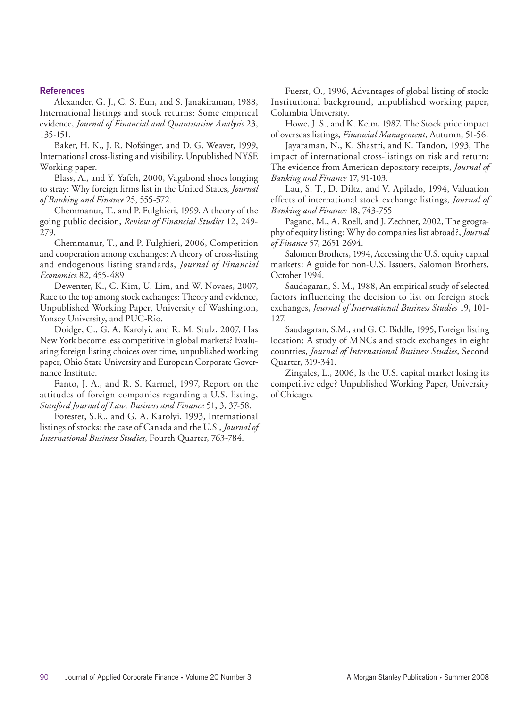#### **References**

Alexander, G. J., C. S. Eun, and S. Janakiraman, 1988, International listings and stock returns: Some empirical evidence, *Journal of Financial and Quantitative Analysis* 23, 135-151.

Baker, H. K., J. R. Nofsinger, and D. G. Weaver, 1999, International cross-listing and visibility, Unpublished NYSE Working paper.

Blass, A., and Y. Yafeh, 2000, Vagabond shoes longing to stray: Why foreign firms list in the United States, *Journal of Banking and Finance* 25, 555-572.

Chemmanur, T., and P. Fulghieri, 1999, A theory of the going public decision, *Review of Financial Studies* 12, 249- 279.

Chemmanur, T., and P. Fulghieri, 2006, Competition and cooperation among exchanges: A theory of cross-listing and endogenous listing standards, *Journal of Financial Economic*s 82, 455-489

Dewenter, K., C. Kim, U. Lim, and W. Novaes, 2007, Race to the top among stock exchanges: Theory and evidence, Unpublished Working Paper, University of Washington, Yonsey University, and PUC-Rio.

Doidge, C., G. A. Karolyi, and R. M. Stulz, 2007, Has New York become less competitive in global markets? Evaluating foreign listing choices over time, unpublished working paper, Ohio State University and European Corporate Governance Institute.

Fanto, J. A., and R. S. Karmel, 1997, Report on the attitudes of foreign companies regarding a U.S. listing, *Stanford Journal of Law, Business and Finance* 51, 3, 37-58.

Forester, S.R., and G. A. Karolyi, 1993, International listings of stocks: the case of Canada and the U.S., *Journal of International Business Studies*, Fourth Quarter, 763-784.

Fuerst, O., 1996, Advantages of global listing of stock: Institutional background, unpublished working paper, Columbia University.

Howe, J. S., and K. Kelm, 1987, The Stock price impact of overseas listings, *Financial Management*, Autumn, 51-56.

Jayaraman, N., K. Shastri, and K. Tandon, 1993, The impact of international cross-listings on risk and return: The evidence from American depository receipts, *Journal of Banking and Finance* 17, 91-103.

Lau, S. T., D. Diltz, and V. Apilado, 1994, Valuation effects of international stock exchange listings, *Journal of Banking and Finance* 18, 743-755

Pagano, M., A. Roell, and J. Zechner, 2002, The geography of equity listing: Why do companies list abroad?, *Journal of Finance* 57, 2651-2694.

Salomon Brothers, 1994, Accessing the U.S. equity capital markets: A guide for non-U.S. Issuers, Salomon Brothers, October 1994.

Saudagaran, S. M., 1988, An empirical study of selected factors influencing the decision to list on foreign stock exchanges, *Journal of International Business Studies* 19, 101- 127.

Saudagaran, S.M., and G. C. Biddle, 1995, Foreign listing location: A study of MNCs and stock exchanges in eight countries, *Journal of International Business Studies*, Second Quarter, 319-341.

Zingales, L., 2006, Is the U.S. capital market losing its competitive edge? Unpublished Working Paper, University of Chicago.